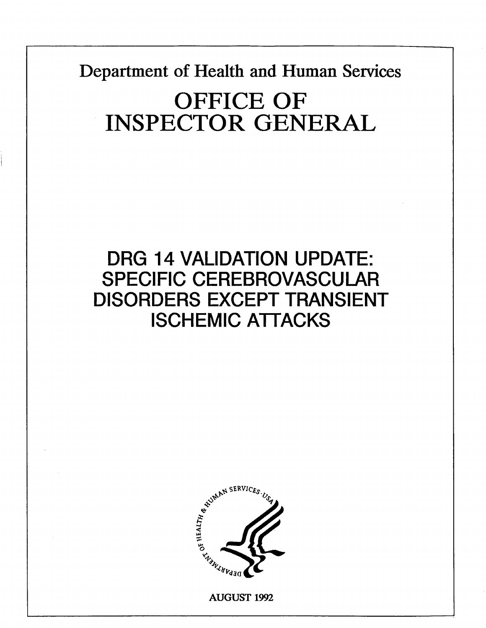Department of Health and Human Services OFFICE OF INSPECTOR GENERAL

## DRG 14 VALIDATION UPDATE: SPECIFIC CEREBROVASCULAR DISORDERS EXCEPT TRANSIENT ISCHEMIC ATTACKS



AUGUST 199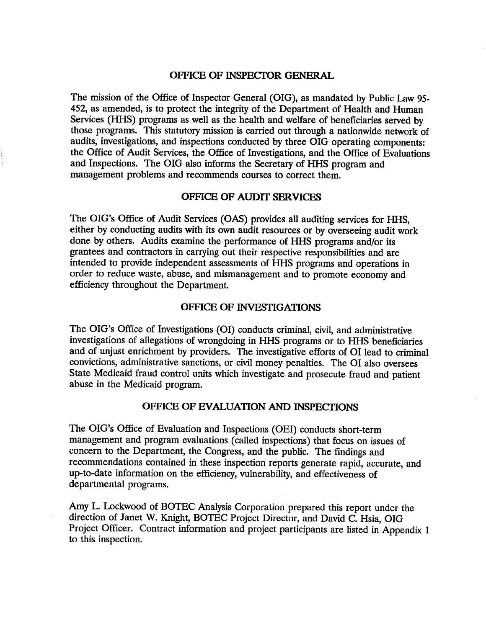#### OFFICE OF INSPECTOR GENERAL

The mission of the Office of Inspector General (OIG), as mandated by Public Law 95 452, as amended, is to protect the integrity of the Department of Health and Human Services (HHS) programs as well as the health and welfare of beneficiaries served by those programs. This statutory mission is carried out through a nationwide network of audits, investigations, and inspections conducted by three OIG operating components: the Office of Audit Services, the Office of Investigations, and the Office of Evaluations and Inspections. The OIG also informs the Secretary of HHS program and management problems and recommends courses to correct them.

#### OFFICE OF AUDIT SERVICES

The OIG's Office of Audit Services (OAS) provides all auditing services for HHS, either by conducting audits with its own audit resources or by overseeing audit work done by others. Audits examine the performance of HHS programs and/or its grantees and contractors in carrying out their respective responsibilities and are intended to provide independent assessments of HHS programs and operations in order to reduce waste, abuse, and mismanagement and to promote economy and efficiency throughout the Department.

#### OFFICE OF INVESTIGATIONS

The OIG's Office of Investigations (OI) conducts criminal, civil, and administrative investigations of allegations of wrongdoing in HHS programs or to HHS beneficiaries and of unjust enrichment by providers. The investigative efforts of 01 lead to criminal convictions, administrative sanctions, or civil money penalties. The 01 also oversees State Medicaid fraud control units which investigate and prosecute fraud and patient abuse in the Medicaid program.

#### OFFICE OF EVALUATION AND INSPECTIONS

The OIG's Office of Evaluation and Inspections (OEI) conducts short-term management and program evaluations (called inspections) that focus on issues of concern to the Department, the Congress, and the public. The findings and recommendations contained in these inspection reports generate rapid, accurate, and up-to-date information on the efficiency, vulnerability, and effectiveness of departmental programs.

Amy L. Lockwood of BOTEC Analysis Corporation prepared this report under the direction of Janet W. Knight, BOTEC Project Director, and David C. Hsia, OIG Project Officer. Contract information and project participants are listed in Appendix 1 to this inspection.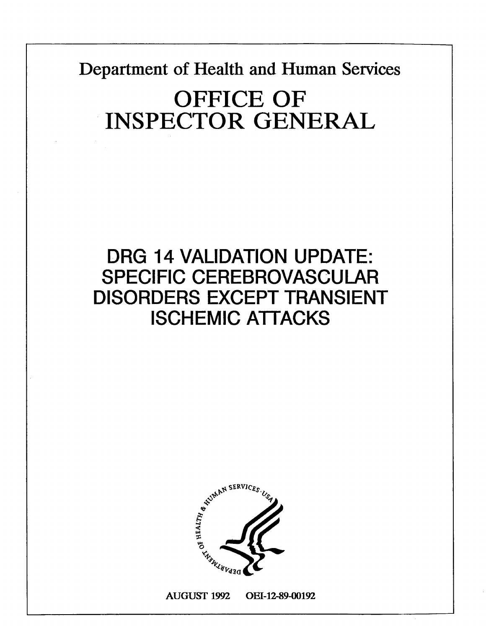Department of Health and Human Services

# OFFICE OF INSPECTOR GENERAL

## DRG 14 VALIDATION UPDATE: SPECIFIC CEREBROVASCULAR DISORDERS EXCEPT TRANSIENT ISCHEMIC ATTACKS



AUGUST 199 OEI-12-89-O192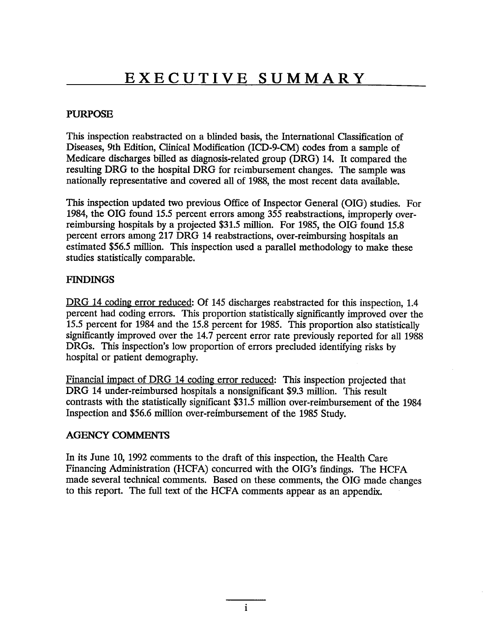#### PURPOSE

This inspection reabstracted on a blinded basis, the International Classification of Diseases, 9th Edition, Clinical Modification (ICD-9-CM) codes from a sample of Medicare discharges biled as diagnosis-related group (DRG) 14. It compared the resulting DRG to the hospital DRG for reimbursement changes. The sample was nationally representative and covered all of 1988, the most recent data available.

This inspection updated two previous Office of Inspector General (OIG) studies. For 1984, the OIG found 15.5 percent errors among 355 reabstractions, improperly overreimbursing hospitals by a projected \$31.5 million. For 1985, the OIG found 15.8 percent errors among 217 DRG 14 reabstractions, over-reimbursing hospitals an estimated \$56.5 million. This inspection used a parallel methodology to make these studies statistically comparable.

#### **FINDINGS**

DRG 14 coding error reduced: Of 145 discharges reabstracted for this inspection, 1.4 percent had coding errors. This proportion statistically significantly improved over the 15.5 percent for 1984 and the 15.8 percent for 1985. This proportion also statistically significantly improved over the 14.7 percent error rate previously reported for all 1988 DRGs. This inspection's low proportion of errors precluded identifying risks by hospital or patient demography.

Financial impact of DRG 14 coding error reduced: Ths inspection projected that DRG 14 under-reimbursed hospitals a nonsignificant \$9.3 million. This result contrasts with the statistically significant \$31.5 milion over-reimbursement of the 1984 Inspection and \$56.6 million over-reimbursement of the 1985 Study.

#### **AGENCY COMMENTS**

In its June 10, 1992 comments to the draft of this inspection, the Health Care Financing Administration (HCFA) concurred with the OIG's findings. The HCFA made several technical comments. Based on these comments, the OIG made changes to this report. The full text of the HCFA comments appear as an appendix.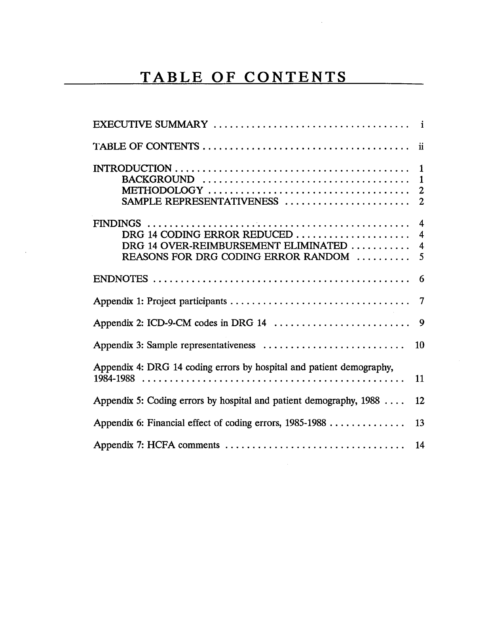# TABLE OF CONTENTS

| 1<br>$\mathbf 1$<br>2<br>SAMPLE REPRESENTATIVENESS<br>$\overline{2}$                                                                                              |
|-------------------------------------------------------------------------------------------------------------------------------------------------------------------|
| $\overline{4}$<br>DRG 14 CODING ERROR REDUCED<br>4<br>DRG 14 OVER-REIMBURSEMENT ELIMINATED<br>$\overline{\mathbf{4}}$<br>REASONS FOR DRG CODING ERROR RANDOM<br>5 |
| 6                                                                                                                                                                 |
| 7                                                                                                                                                                 |
| 9                                                                                                                                                                 |
| Appendix 3: Sample representativeness<br>10                                                                                                                       |
| Appendix 4: DRG 14 coding errors by hospital and patient demography,<br>11                                                                                        |
| Appendix 5: Coding errors by hospital and patient demography, $1988$<br>12                                                                                        |
| Appendix 6: Financial effect of coding errors, 1985-1988<br>13                                                                                                    |
| 14                                                                                                                                                                |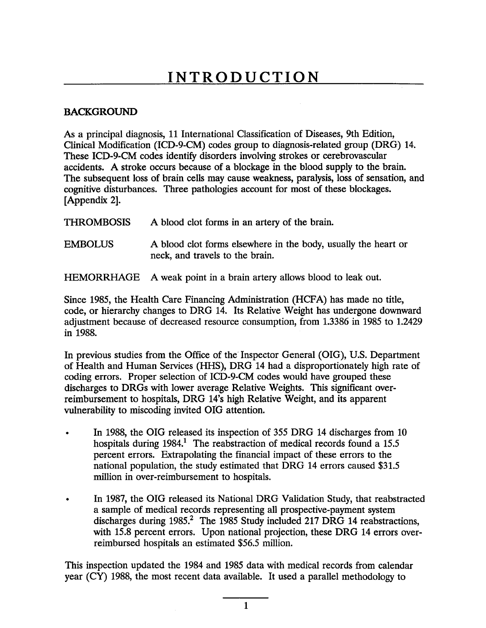#### **BACKGROUND**

As a principal diagnosis, 11 International Classification of Diseases, 9th Edition Clinical Modification (ICD-9-CM) codes group to diagnosis-related group (DRG) 14. These ICD-9-CM codes identify disorders involving strokes or cerebrovascular accidents. A stroke occurs because of a blockage in the blood supply to the brain. The subsequent loss of brain cells may cause weakness, paralysis, loss of sensation, and cogntive disturbances. Three pathologies account for most of these blockages. (Appendix 2).

THROMBOSIS A blood clot forms in an artery of the brain.

EMBOLUS A blood clot forms elsewhere in the body, usually the heart or neck, and travels to the brain.

HEMORRHAGE A weak point in a brain artery allows blood to leak out.

Since 1985, the Health Care Financing Administration (HCFA) has made no title code, or hierarchy changes to DRG 14. Its Relative Weight has undergone downward adjustment because of decreased resource consumption, from 1.3386 in 1985 to 1.2429 in 1988.

In previous studies from the Office of the' Inspector General (OIG), U.S. Department of Health and Human Services (HHS), DRG 14 had a disproportionately high rate of coding errors. Proper selection of ICD-9-CM codes would have grouped these discharges to DRGs with lower average Relative Weights. This significant overreimbursement to hospitals, DRG 14's high Relative Weight, and its apparent vulnerability to miscoding invited OIG attention.

- In 1988, the OIG released its inspection of 355 DRG 14 discharges from 10 hospitals during  $1984<sup>1</sup>$ . The reabstraction of medical records found a 15.5 percent errors. Exrapolating the financial impact of these errors to the national population, the study estimated that DRG 14 errors caused \$31.5 milion in over-reimbursement to hospitals.
- In 1987, the OIG released its National DRG Validation Study, that reabstracted a sample of medical records representing all prospective-payment system discharges during 1985.<sup>2</sup> The 1985 Study included 217 DRG 14 reabstractions, with 15.8 percent errors. Upon national projection, these DRG 14 errors overreimbursed hospitals an estimated \$56.5 milion.

This inspection updated the 1984 and 1985 data with medical records from calendar year (CY) 1988, the most recent data available. It used a parallel methodology to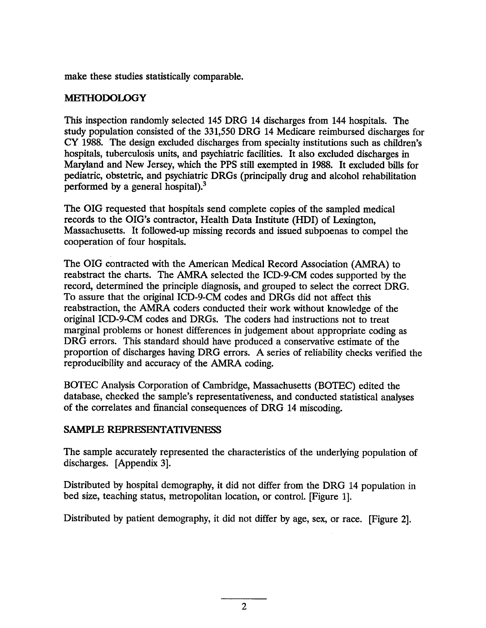make these studies statistically comparable.

#### **METHODOLOGY**

This inspection randomly selected 145 DRG 14 discharges from 144 hospitals. The study population consisted of the 331 550 DRG 14 Medicare reimbursed discharges for CY 1988. The design excluded discharges from specialty institutions such as children hospitals, tuberculosis units, and psychiatric facilties. It also excluded discharges in Maryland and New Jersey, which the PPS stil exempted in 1988. It excluded bils for pediatric, obstetric, and psychiatric DRGs (principally drug and alcohol rehabiltation performed by a general hospital).<sup>3</sup>

The OIG requested that hospitals send complete copies of the sampled medical records to the OIG's contractor, Health Data Institute (HDI) of Lexington Massachusetts. It followed-up missing records and issued subpoenas to compel the cooperation of four hospitals.

The OIG contracted with the American Medical Record Association (AMRA) to reabstract the charts. The AMRA selected the ICD-9-CM codes supported by the record, determined the principle diagnosis, and grouped to select the correct DRG. To assure that the original ICD-9-CM codes and DRGs did not affect this reabstraction, the AMRA coders conducted their work without knowledge of the original ICD-9-CM codes and DRGs. The coders had instructions not to treat marginal problems or honest differences in judgement about appropriate coding DRG errors. This standard should have produced a conservative estimate of the proportion of discharges having DRG errors. A series of reliabilty checks verified the reproducibilty and accuracy of the AMRA coding.

BOTEC Analysis Corporation of Cambridge, Massachusetts (BOTEC) edited the database, checked the sample's representativeness, and conducted statistical analyses of the correlates and financial consequences of DRG 14 miscoding.

#### SAMPLE REPRESENTATIVENESS

The sample accurately represented the characteristics of the underlying population of discharges. (Appendix 3).

Distributed by hospital demography, it did not differ from the DRG 14 population in bed size, teaching status, metropolitan location, or control. (Figure 1).

Distributed by patient demography, it did not differ by age, sex, or race. (Figure 2).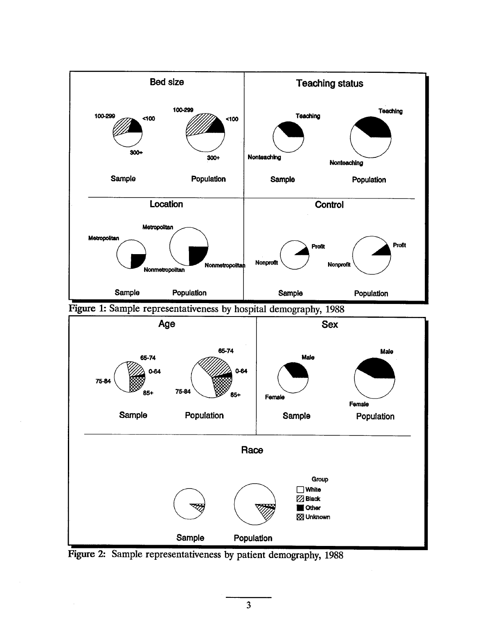

 $\overline{\mathbf{3}}$ 

**B** Other 88 Unknown

Figue 2: Sample representativeness by patient demography, 1988

Sample **Population**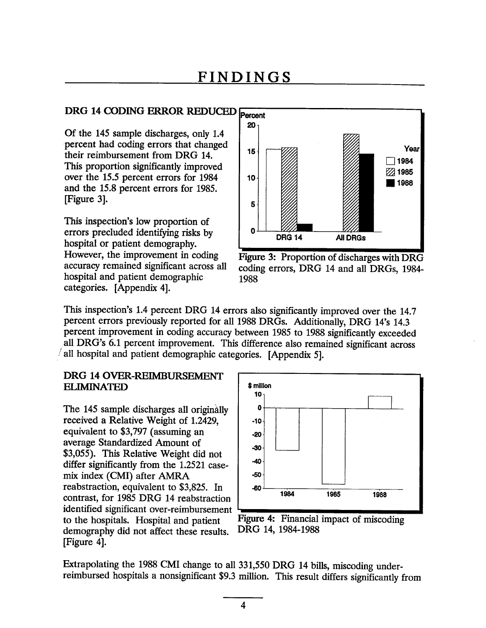## DRG 14 CODING ERROR REDUCED Percent

Of the 145 sample discharges, only 1.4 This proportion significantly improved over the 15.5 percent errors for 1984 and the 15.8 percent errors for 1985. (Figure 3).

This inspection's low proportion of errors precluded identifying risks by hospital or patient demography. However, the improvement in coding Figure 3: Proportion of discharges with DRG accuracy remained significant across all coding errors, DRG 14 and all DRGs, 1984hospital and patient demographic 1988 categories. (Appendix 4).



This inspection's 1.4 percent DRG 14 errors also significantly improved over the 14.7 percent errors previously reported for all 1988 DRGs. Additionally, DRG 14's 14.3 percent improvement in coding accuracy between 1985 to 1988 significantly exceeded all DRG's 6.1 percent improvement. This difference also remained significant across all hospital and patient demographic categories. [Appendix 5].

### DRG 14 OVER-REIMBURSEMENT  $\begin{array}{c|c|c|c|c} \textbf{ELIMINATED} & & & \text{ $>$\mathsf{million}$} \ \textbf{10}_1 & & & \textbf{10}_1 \end{array}$

The 145 sample discharges all originally received a Relative Weight of 1.2429 equivalent to  $$3,797$  (assuming an  $\vert$  -20 average Standardized Amount of -30 055). This Relative Weight did not difer significantly from the 1.2521 case mix index (CMI) after AMRA reabstraction, equivalent to  $$3,825$ . In  $\blacksquare$  so 1988 contrast, for 1985 DRG 14 reabstraction 1984 1985 1988 identified significant over-reimbursement to the hospitals. Hospital and patient Figure 4: Financial impact of miscoding demography did not affect these results. (Figure 4).



DRG 14, 1984-1988

Extrapolating the 1988 CMI change to all 331,550 DRG 14 bills, miscoding underreimbursed hospitals a nonsignificant \$9.3 milion. This result differs significantly from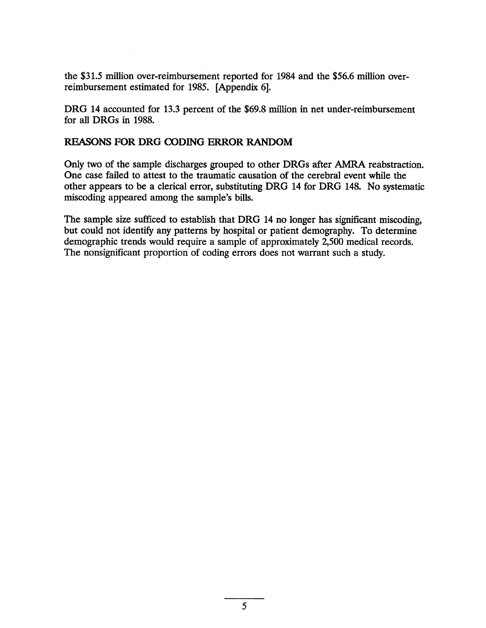the \$31.5 milion over-reimbursement reported for 1984 and the \$56.6 milion overreimbursement estimated for 1985. (Appendix 6).

DRG 14 accounted for 13.3 percent of the \$69.8 million in net under-reimbursement for all DRGs in 1988. .

#### REASONS FOR DRG CODING ERROR RANDOM

Only two of the sample discharges grouped to other DRGs after AMRA reabstraction. One case failed to attest to the traumatic causation of the cerebral event while the other appears to be a clerical error, substituting DRG 14 for DRG 148. No systematic miscoding appeared among the sample's bills.

The sample size sufficed to establish that DRG 14 no longer has significant miscoding, but could not identify any patterns by hospital or patient demography. To determine demographic trends would require a sample of approximately 2,500 medical records. The nonsignificant proportion of coding errors does not warrant such a study.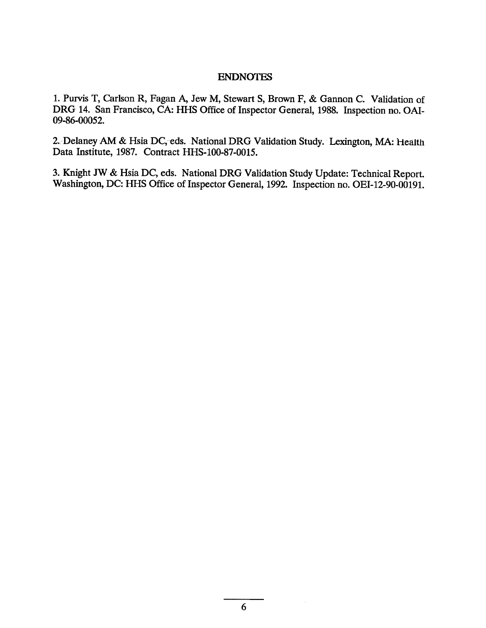#### ENDNOTE

1. Purvis T, Carlson R, Fagan A, Jew M, Stewart S, Brown F, & Gannon C. Validation of DRG 14. San Francisco, CA: HHS Office of Inspector General, 1988. Inspection no. OAI-09-86-00052.

2. Delaney AM & Hsia DC, eds. National DRG Validation Study. Lexington, MA: Health Data Institute, 1987. Contract HHS-l00-87-0015.

3. Knight JW & Hsia DC, eds. National DRG Validation Study Update: Technical Report. Washington, DC: HHS Office of Inspector General, 1992. Inspection no. OEI-12-90-00191.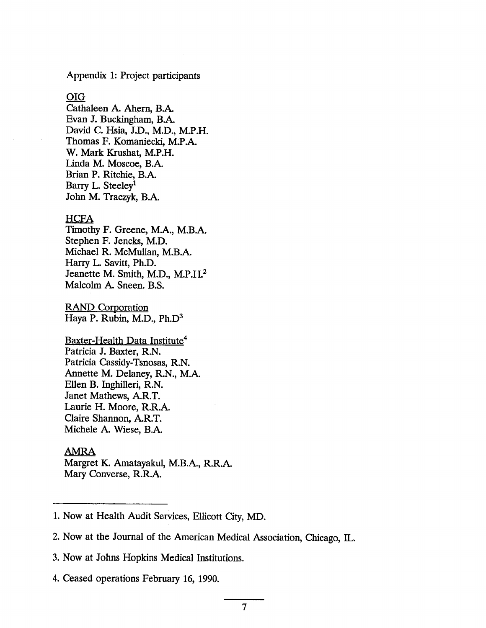Appendix 1: Project participants

#### OIG

Cathaleen A. Ahern, B. Evan J. Buckingham, B.A. David C. Hsia, J.D., M.D., M.I Thomas F. Komaniecki, M. W. Mark Krushat, M.I Linda M. Moscoe, B.A. Brian P. Ritchie, B. Barry L. Steeley<sup>1</sup> John M. Traczyk, B.

#### HCFA

Timothy F. Greene, M.A., M. Stephen F. Jencks, M. Michael R. McMullan, M.B.A. Harry L. Savitt, Ph. Jeanette M. Smith, M.D., M. Malcolm A. Sneen. B.S.

**RAND Corporation** Haya P. Rubin, M.D., Ph.l

<u>Baxter-Health Data Institute</u><sup>4</sup> Patricia J. Baxter, R.l Patricia Cassidy-Tsnosas, R. Annette M. Delaney, R.N., M. Ellen B. Inghileri, R. Janet Mathews, A.R.<sup>7</sup> Laurie H. Moore, R. Claire Shannon, A. Michele A. Wiese, B.

#### AMRA

Margret K. Amatayakul, M.B.A., R. Mary Converse, R.

<sup>1.</sup> Now at Health Audit Services, Ellicott City, MD.

<sup>2.</sup> Now at the Journal of the American Medical Association, Chicago, IL.

<sup>3.</sup> Now at Johns Hopkins Medical Institutions.

<sup>4.</sup> Ceased operations February 16, 1990.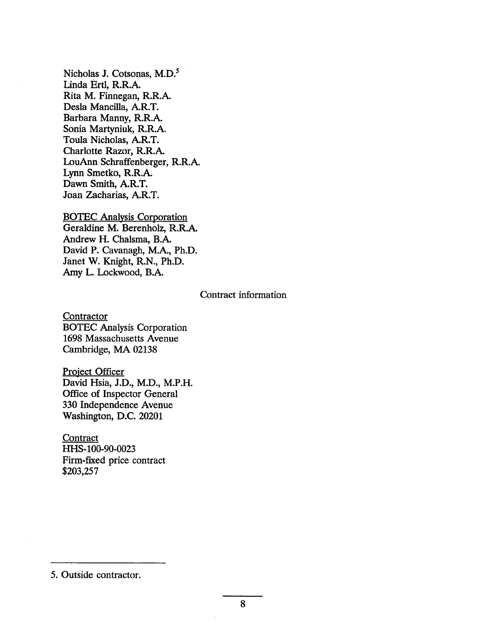Nicholas J. Cotsonas, M. Linda Ertl, R. Rita M. Finnegan, R. Desla Mancila, A. Barbara Manny, R. Sonia Martyniuk, R.I Toula Nicholas, A. Charlotte Razor, R. LouAnn Schraffenberger, R.l Lynn Smetko, R.I Dawn Smith, A. Joan Zacharias, A.

BOTEC Analysis Corporation Geraldine M. Berenholz, R. Andrew H. Chalsma, B. David P. Cavanagh, M.A., Ph.D. Janet W. Knight, R.N., Ph.D. Amy L. Lockwood, B.A.

#### Contract information

**Contractor** BOTEC Analysis Corporation 1698 Massachusetts Avenue Cambridge, MA 02138

Project Officer David Hsia, J.D., M.D., M.P.H. Office of Inspector General 330 Independence Avenue Washington, D.C. 20201

**Contract** HHS-100-90-0023 Firm-fixed price contract \$203 257

5. Outside contractor.

8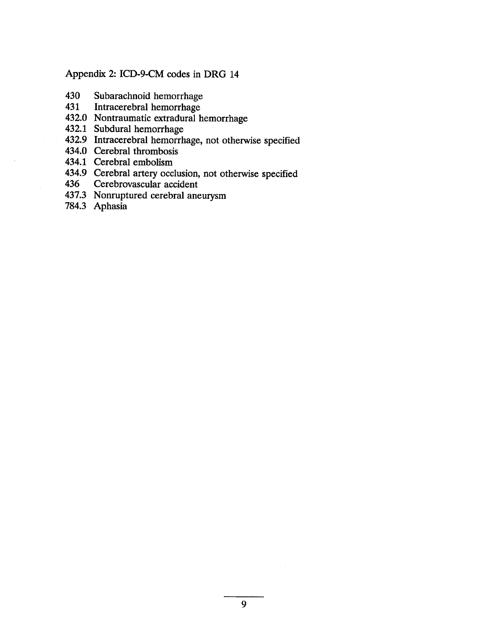#### Appendix 2: ICD-9-CM codes in DRG 14

- 430 Subarachnoid hemorrhage 431 Intracerebral hemorrhage
- 
- 432.0 Nontraumatic extradural hemorrhage
- 432. 1 Subdural hemorrhage
- 432.9 Intracerebral hemorrhage, not otherwise specified
- 434.0 Cerebral thrombosis
- 434.1 Cerebral embolism
- 434.9 Cerebral artery occlusion, not otherwise specified
- 436 Cerebrovascular accident
- 437. Nonruptured cerebral aneurysm
- 784.3 Aphasia

 $\bar{z}$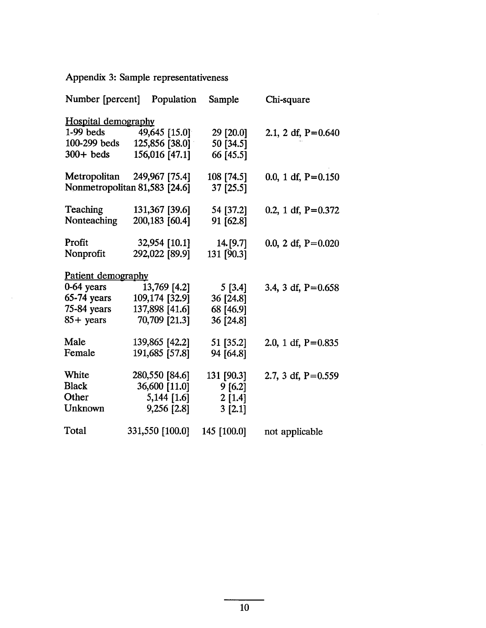## Appendix 3: Sample representativeness

 $\mathcal{A}^{\mathcal{A}}$ 

|                            | Number [percent] Population   | Sample      | Chi-square           |
|----------------------------|-------------------------------|-------------|----------------------|
| <b>Hospital demography</b> |                               |             |                      |
| $1-99$ beds                | 49,645 [15.0]                 | 29 [20.0]   | 2.1, 2 df, $P=0.640$ |
| 100-299 beds               | 125,856 [38.0]                | 50 [34.5]   |                      |
| $300+$ beds                | 156,016 [47.1]                | 66 [45.5]   |                      |
|                            | Metropolitan 249,967 [75.4]   | 108 [74.5]  | 0.0, 1 df, $P=0.150$ |
|                            | Nonmetropolitan 81,583 [24.6] | 37 [25.5]   |                      |
| Teaching                   | 131,367 [39.6]                | 54 [37.2]   | 0.2, 1 df, $P=0.372$ |
| Nonteaching                | 200,183 [60.4]                | 91 [62.8]   |                      |
| Profit                     | 32,954 [10.1]                 | 14. [9.7]   | 0.0, 2 df, $P=0.020$ |
| Nonprofit                  | 292,022 [89.9]                | 131 [90.3]  |                      |
| Patient demography         |                               |             |                      |
| 0-64 years                 | 13,769 [4.2]                  | 5 [3.4]     | 3.4, 3 df, $P=0.658$ |
| $65-74$ years              | 109,174 [32.9]                | 36 [24.8]   |                      |
| $75-84$ years              | 137,898 [41.6]                | 68 [46.9]   |                      |
| $85 + \text{years}$        | 70,709 [21.3]                 | 36 [24.8]   |                      |
| Male                       | 139,865 [42.2]                | 51 [35.2]   | 2.0, 1 df, $P=0.835$ |
| Female                     | 191,685 [57.8]                | 94 [64.8]   |                      |
| White                      | 280,550 [84.6]                | 131 [90.3]  | 2.7, 3 df, $P=0.559$ |
| <b>Black</b>               | 36,600 [11.0]                 | 9[6.2]      |                      |
| Other                      | 5,144 [1.6]                   | 2[1.4]      |                      |
| Unknown                    | 9,256 [2.8]                   | 3 [2.1]     |                      |
| Total                      | 331,550 [100.0]               | 145 [100.0] | not applicable       |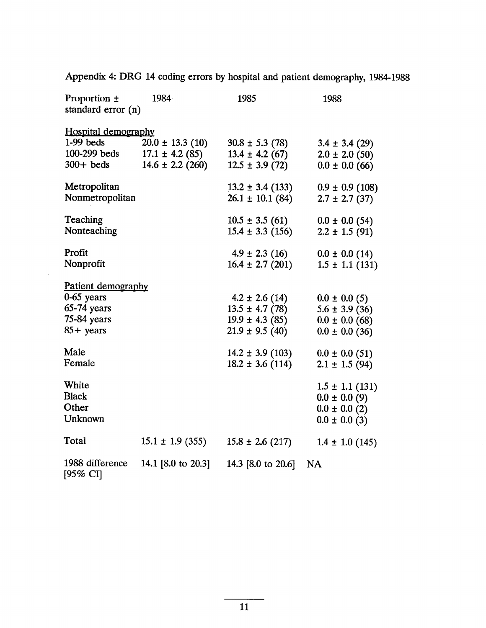| Proportion ±<br>standard error (n)        | 1984                                        | 1985                                         | 1988                                      |
|-------------------------------------------|---------------------------------------------|----------------------------------------------|-------------------------------------------|
| <b>Hospital demography</b><br>$1-99$ beds | $20.0 \pm 13.3$ (10)                        | $30.8 \pm 5.3$ (78)                          | $3.4 \pm 3.4$ (29)                        |
| 100-299 beds<br>$300+$ beds               | $17.1 \pm 4.2$ (85)<br>$14.6 \pm 2.2$ (260) | $13.4 \pm 4.2$ (67)<br>$12.5 \pm 3.9(72)$    | $2.0 \pm 2.0$ (50)<br>$0.0 \pm 0.0$ (66)  |
| Metropolitan<br>Nonmetropolitan           |                                             | $13.2 \pm 3.4$ (133)<br>$26.1 \pm 10.1$ (84) | $0.9 \pm 0.9$ (108)<br>$2.7 \pm 2.7$ (37) |
| Teaching<br>Nonteaching                   |                                             | $10.5 \pm 3.5(61)$<br>$15.4 \pm 3.3$ (156)   | $0.0 \pm 0.0$ (54)<br>$2.2 \pm 1.5$ (91)  |
| Profit<br>Nonprofit                       |                                             | $4.9 \pm 2.3$ (16)<br>$16.4 \pm 2.7$ (201)   | $0.0 \pm 0.0$ (14)<br>$1.5 \pm 1.1$ (131) |
| Patient demography                        |                                             |                                              |                                           |
| 0-65 years                                |                                             | $4.2 \pm 2.6$ (14)                           | $0.0 \pm 0.0$ (5)                         |
| $65-74$ years                             |                                             | $13.5 \pm 4.7(78)$                           | $5.6 \pm 3.9$ (36)                        |
| 75-84 years                               |                                             | $19.9 \pm 4.3$ (85)                          | $0.0 \pm 0.0$ (68)                        |
| $85 +$ years                              |                                             | $21.9 \pm 9.5$ (40)                          | $0.0 \pm 0.0$ (36)                        |
| Male                                      |                                             | $14.2 \pm 3.9$ (103)                         | $0.0 \pm 0.0$ (51)                        |
| Female                                    |                                             | $18.2 \pm 3.6$ (114)                         | $2.1 \pm 1.5$ (94)                        |
| White                                     |                                             |                                              | $1.5 \pm 1.1$ (131)                       |
| <b>Black</b>                              |                                             |                                              | $0.0 \pm 0.0$ (9)                         |
| Other                                     |                                             |                                              | $0.0 \pm 0.0$ (2)                         |
| Unknown                                   |                                             |                                              | $0.0 \pm 0.0$ (3)                         |
| <b>Total</b>                              | $15.1 \pm 1.9$ (355)                        | $15.8 \pm 2.6$ (217)                         | $1.4 \pm 1.0$ (145)                       |
| 1988 difference<br>[95% CI]               | 14.1 [8.0 to 20.3]                          | 14.3 [8.0 to 20.6]                           | NA                                        |

Appendix 4: DRG 14 coding errors by hospital and patient demography, 1984- 1988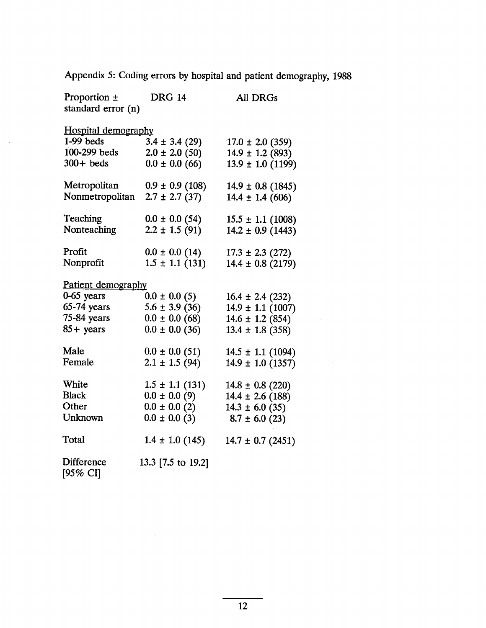Appendix 5: Coding errors by hospital and patient demography, 1988

| Proportion $\pm$           | <b>DRG 14</b>       | <b>All DRGs</b>         |  |  |  |
|----------------------------|---------------------|-------------------------|--|--|--|
| standard error (n)         |                     |                         |  |  |  |
|                            |                     |                         |  |  |  |
| <b>Hospital demography</b> |                     |                         |  |  |  |
| $1-99$ beds                | $3.4 \pm 3.4$ (29)  | $17.0 \pm 2.0$ (359)    |  |  |  |
| 100-299 beds               | $2.0 \pm 2.0$ (50)  | $14.9 \pm 1.2$ (893)    |  |  |  |
| $300+$ beds                | $0.0 \pm 0.0$ (66)  | $13.9 \pm 1.0$ (1199)   |  |  |  |
| Metropolitan               | $0.9 \pm 0.9$ (108) | $14.9 \pm 0.8$ (1845)   |  |  |  |
| Nonmetropolitan            | $2.7 \pm 2.7$ (37)  | $14.4 \pm 1.4$ (606)    |  |  |  |
| Teaching                   | $0.0 \pm 0.0$ (54)  | $15.5 \pm 1.1$ (1008)   |  |  |  |
| Nonteaching                | $2.2 \pm 1.5$ (91)  | $14.2 \pm 0.9$ (1443)   |  |  |  |
| Profit                     | $0.0 \pm 0.0$ (14)  | $17.3 \pm 2.3$ (272)    |  |  |  |
| Nonprofit                  | $1.5 \pm 1.1$ (131) | $14.4 \pm 0.8$ (2179)   |  |  |  |
| <u>Patient demography</u>  |                     |                         |  |  |  |
| $0-65$ years               | $0.0 \pm 0.0$ (5)   | $16.4 \pm 2.4$ (232)    |  |  |  |
| $65-74$ years              | $5.6 \pm 3.9$ (36)  | $14.9 \pm 1.1 \ (1007)$ |  |  |  |
| 75-84 years                | $0.0 \pm 0.0$ (68)  | $14.6 \pm 1.2$ (854)    |  |  |  |
| $85 + \text{years}$        | $0.0 \pm 0.0$ (36)  | $13.4 \pm 1.8$ (358)    |  |  |  |
| Male                       | $0.0 \pm 0.0$ (51)  | $14.5 \pm 1.1$ (1094)   |  |  |  |
| Female                     | $2.1 \pm 1.5$ (94)  | $14.9 \pm 1.0$ (1357)   |  |  |  |
| White                      | $1.5 \pm 1.1$ (131) | $14.8 \pm 0.8$ (220)    |  |  |  |
| <b>Black</b>               | $0.0 \pm 0.0$ (9)   | $14.4 \pm 2.6$ (188)    |  |  |  |
| Other                      | $0.0 \pm 0.0$ (2)   | $14.3 \pm 6.0$ (35)     |  |  |  |
| Unknown                    | $0.0 \pm 0.0$ (3)   | $8.7 \pm 6.0$ (23)      |  |  |  |
| Total                      | $1.4 \pm 1.0$ (145) | $14.7 \pm 0.7$ (2451)   |  |  |  |
| Difference<br>[95% CI]     | 13.3 [7.5 to 19.2]  |                         |  |  |  |

 $\sim 10^{-10}$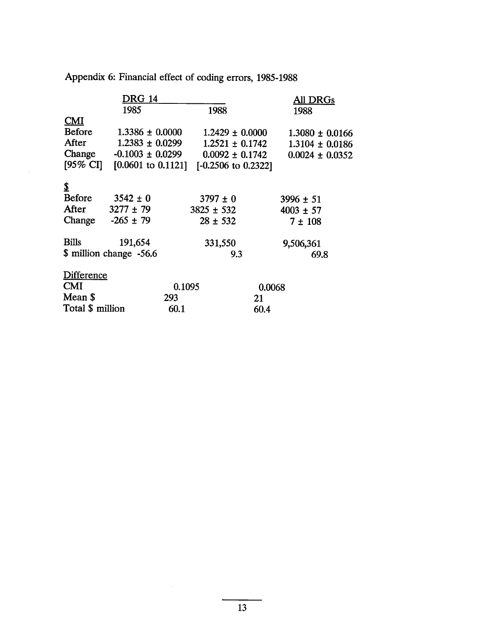|                     | DRG 14                      |        |                     |        | All DRGs            |
|---------------------|-----------------------------|--------|---------------------|--------|---------------------|
|                     | 1985                        |        | 1988                |        | 1988                |
| CMI                 |                             |        |                     |        |                     |
| <b>Before</b>       | $1.3386 \pm 0.0000$         |        | $1.2429 \pm 0.0000$ |        | $1.3080 \pm 0.0166$ |
| After               | $1.2383 \pm 0.0299$         |        | $1.2521 \pm 0.1742$ |        | $1.3104 \pm 0.0186$ |
|                     | Change $-0.1003 \pm 0.0299$ |        | $0.0092 \pm 0.1742$ |        | $0.0024 \pm 0.0352$ |
| $[95\% \text{ CI}]$ | $[0.0601]$ to $0.1121]$     |        | [-0.2506 to 0.2322] |        |                     |
| \$                  |                             |        |                     |        |                     |
| Before              | $3542 \pm 0$                |        | $3797 \pm 0$        |        | $3996 \pm 51$       |
| After               | $3277 \pm 79$               |        | $3825 \pm 532$      |        | $4003 \pm 57$       |
| Change              | $-265 \pm 79$               |        | $28 \pm 532$        |        | $7 \pm 108$         |
| <b>Bills</b>        | 191,654                     |        | 331,550             |        | 9,506,361           |
|                     | \$ million change -56.6     |        | 9.3                 |        | 69.8                |
| Difference          |                             |        |                     |        |                     |
| <b>CMI</b>          |                             | 0.1095 |                     | 0.0068 |                     |
| Mean \$             |                             | 293    |                     | 21     |                     |
| Total \$ million    |                             | 60.1   |                     | 60.4   |                     |

Appendix 6: Financial effect of coding errors, 1985-1988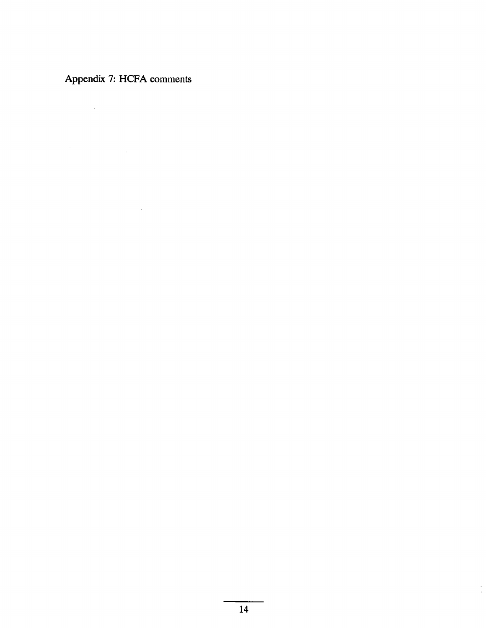Appendix 7: HCFA comments

 $\mathcal{L}^{\mathcal{L}}(\mathcal{L}^{\mathcal{L}})$  . The set of  $\mathcal{L}^{\mathcal{L}}(\mathcal{L}^{\mathcal{L}})$ 

 $\label{eq:2} \mathcal{L} = \mathcal{L} \left( \mathcal{L} \right) \left( \mathcal{L} \right) \left( \mathcal{L} \right) \left( \mathcal{L} \right)$ 

 $\label{eq:2.1} \frac{1}{\sqrt{2}}\int_{\mathbb{R}^3}\frac{1}{\sqrt{2}}\left(\frac{1}{\sqrt{2}}\right)^2\frac{1}{\sqrt{2}}\left(\frac{1}{\sqrt{2}}\right)^2\frac{1}{\sqrt{2}}\left(\frac{1}{\sqrt{2}}\right)^2\frac{1}{\sqrt{2}}\left(\frac{1}{\sqrt{2}}\right)^2.$ 

 $\frac{1}{\sqrt{2}}\left( \frac{1}{\sqrt{2}}\right) ^{2}=\frac{1}{2}\left( \frac{1}{2}\right) ^{2}$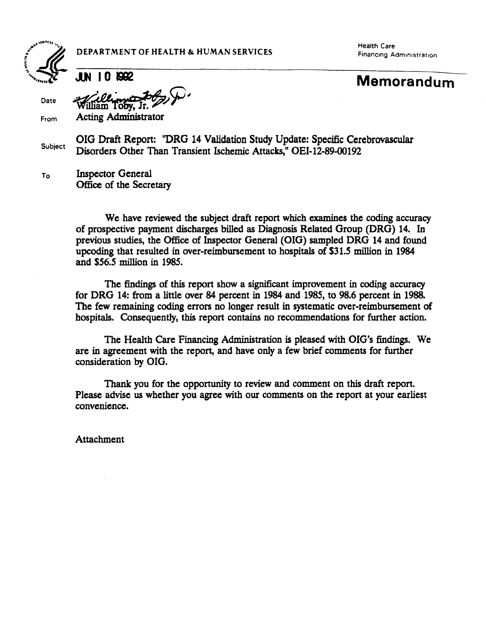

DEPARTMENT OF HEALTH & HUMAN SERVICES Financing Administration

Health Care

**Date** 

Jun 10 1992 **Memorandum** 

iam Toby, Jr. From Acting Administrator

OIG Draft Report: "DRG 14 Validation Study Update: Specific Cerebrovascular Subject Disorders Other Than Transient Ischemic Attacks," OEI-12-89-00192

To

Inspector General Office of the Secretary

We have reviewed the subject draft report which examines the coding accuracy of prospective payment dicharges biled as Diagnosis Related Group (DRG) 14. In previous studies, the Office of Inspector General (OIG) sampled DRG 14 and found upcoding that resulted in over-reimbursement to hospitals of \$31.5 million in 1984 and \$56.5 million in 1985.

The findings of this report show a significant improvement in coding accuracy for DRG 14: from a little over 84 percent in 1984 and 1985, to 98.6 percent in 1988. The few remaining coding errors no longer result in systematic over-reimbursement of hospitals. Consequently, this report contains no recommendations for further action.

The Health Care Financing Administration is pleased with OIG's findings. We are in agreement with the report, and have only a few brief comments for further consideration by OIG.

Thank you for the opportunity to review and comment on this draft report. Please advise us whether you agree with our comments on the report at your earliest convenience.

Attachment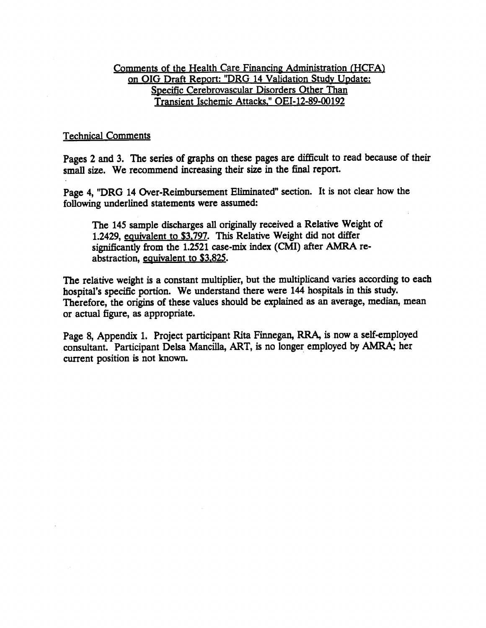#### Comments of the Health Care Financing Administration (HCFA) on OIG Draft Report: "DRG 14 Validation Study Update: Specific Cerebrovascular Disorders Other Than Transient Ischemic Attacks." OEI-12-89-00192

#### **Technical Comments**

Pages 2 and 3. The series of graphs on these pages are difficult to read because of their small size. We recommend increasing their size in the final report.

Page 4, "DRG 14 Over-Reimbursement Eliminated" section. It is not clear how the following underlined statements were assumed:

The 145 sample discharges all originally received a Relative Weight of 1.2429, equivalent to \$3,797. This Relative Weight did not differ significantly from the  $1.2521$  case-mix index (CMI) after AMRA reabstraction, equivalent to \$3,825.

The relative weight is a constant multiplier, but the multiplicand varies according to each hospital's specific portion. We understand there were 144 hospitals in this study. Therefore, the origins of these values should be explained as an average, median, mean or actual figue, as appropriate.

Page 8, Appendix 1. Project participant Rita Finnegan, RRA, is now a self-employed consultant. Participant Delsa Mancilla, ART, is no longer employed by AMRA; her current position is not known.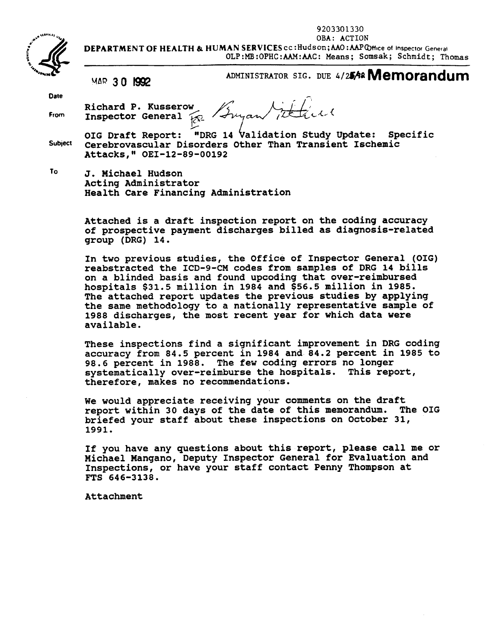9203301330



 OBA: ACTION DEPARTMENT OF HEALTH & HUMAN SERVICES cc: Hudson; AAO: AAPCHice of Inspector General OLP:MB:OPHC:AAM:AAC: Means; Somsak; Schmidt; Thomas

MAR 3 0 1992 ADMINISTRATOR SIG. DUE 4/25/92 Memorandum

Date

From Richard P. Kusserow Inspector General  $\mathcal{F}_{\mathbb{R}}$  / Ingan

Subject "DRG 14 Validation Study Update: Specific Cerebrovascular Disorders other Than Transient Ischemic Attacks, " OEI-12-89-00192 OIG Draft Report:

To J. Michael Hudson Acting Administrator Health Care Financing Administration

> Attached is a draft inspection report on the coding accuracy of prospective payment discharges billed as diagnosis-related group (DRG) 14.

> In two previous studies, the Office of Inspector General (OIG) reabstracted the ICD-9-CM codes from samples of DRG 14 bills on a blinded basis and found upcoding that over-reimbursed hospitals \$31. 5 million in 1984 and \$56. 5 million in 1985. The attached report updates the previous studies by applying the same methodology to a nationally representative sample of 1988 discharges, the most recent year for which data were available.

> These inspections find a significant improvement in DRG coding accuracy from 84. 5 percent in 1984 and 84. 2 percent in 1985 to 98. 6 percent in 1988. The few coding errors no longer systematically over-reimburse the hospitals. This report, therefore, makes no recommendations.

> We would appreciate receiving your comments on the draft report within 30 days of the date of this memorandum. The OIG briefed your staff about these inspections on October 31, 1991.

> If you have any questions about this report, please call me or Michael Mangano, Deputy Inspector General for Evaluation and Inspections, or have your staff contact Penny Thompson at FTS 646-3138.

Attachment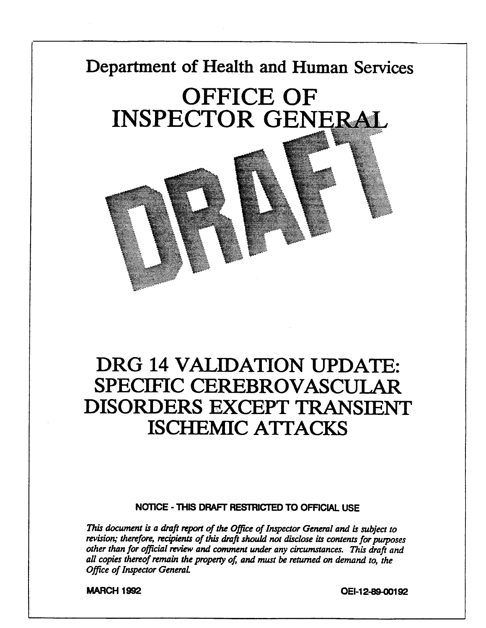# Department of Health and Human Services **OFFICE OF INSPECTOR GENERAL**



#### NOTICE - THIS DRAFT RESTRICTED TO OFFICIAL USE

This document is a draft report of the Office of Inspector General and is subject to revision; therefore, recipients of this draft should not disclose its contents for purposes other than for official review and comment under any circumstances. This draft and all copies thereof remain the property of, and must be returned on demand to, the Office of Inspector General.

MARCH 1992 **MARCH 1992**